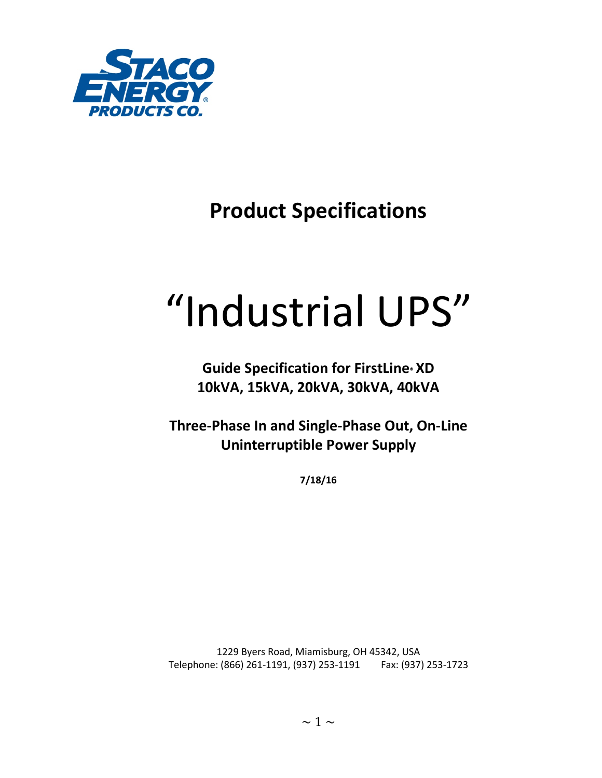

## **Product Specifications**

# "Industrial UPS"

### **Guide Specification for FirstLine® XD 10kVA, 15kVA, 20kVA, 30kVA, 40kVA**

**Three-Phase In and Single-Phase Out, On-Line Uninterruptible Power Supply** 

**7/18/16**

1229 Byers Road, Miamisburg, OH 45342, USA Telephone: (866) 261-1191, (937) 253-1191 Fax: (937) 253-1723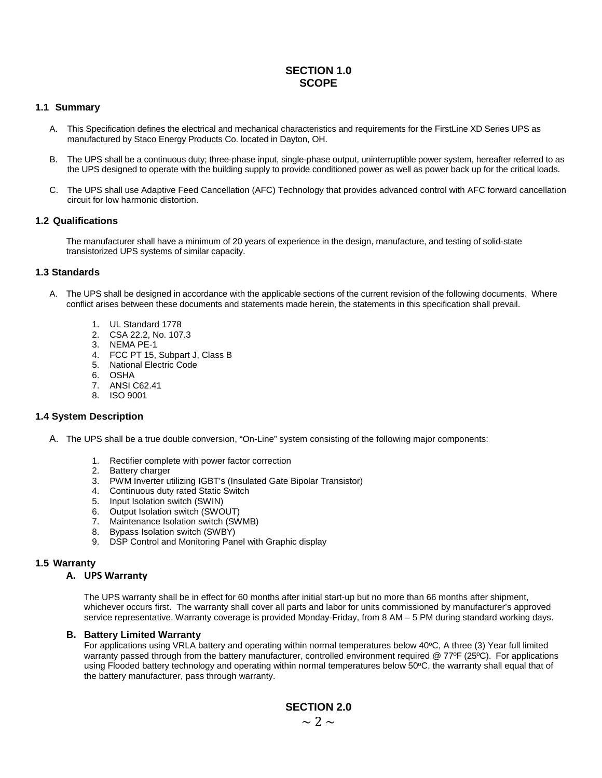#### **SECTION 1.0 SCOPE**

#### **1.1 Summary**

- A. This Specification defines the electrical and mechanical characteristics and requirements for the FirstLine XD Series UPS as manufactured by Staco Energy Products Co. located in Dayton, OH.
- B. The UPS shall be a continuous duty; three-phase input, single-phase output, uninterruptible power system, hereafter referred to as the UPS designed to operate with the building supply to provide conditioned power as well as power back up for the critical loads.
- C. The UPS shall use Adaptive Feed Cancellation (AFC) Technology that provides advanced control with AFC forward cancellation circuit for low harmonic distortion.

#### **1.2 Qualifications**

The manufacturer shall have a minimum of 20 years of experience in the design, manufacture, and testing of solid-state transistorized UPS systems of similar capacity.

#### **1.3 Standards**

- A. The UPS shall be designed in accordance with the applicable sections of the current revision of the following documents. Where conflict arises between these documents and statements made herein, the statements in this specification shall prevail.
	- 1. UL Standard 1778
	- 2. CSA 22.2, No. 107.3
	- 3. NEMA PE-1
	- 4. FCC PT 15, Subpart J, Class B
	- 5. National Electric Code
	- 6. OSHA
	- 7. ANSI C62.41
	- 8. ISO 9001

#### **1.4 System Description**

- A. The UPS shall be a true double conversion, "On-Line" system consisting of the following major components:
	- 1. Rectifier complete with power factor correction
	- 2. Battery charger
	- 3. PWM Inverter utilizing IGBT's (Insulated Gate Bipolar Transistor)
	- 4. Continuous duty rated Static Switch
	- 5. Input Isolation switch (SWIN)
	- 6. Output Isolation switch (SWOUT)
	- 7. Maintenance Isolation switch (SWMB)
	- 8. Bypass Isolation switch (SWBY)
	- 9. DSP Control and Monitoring Panel with Graphic display

#### **1.5 Warranty**

#### **A. UPS Warranty**

The UPS warranty shall be in effect for 60 months after initial start-up but no more than 66 months after shipment, whichever occurs first. The warranty shall cover all parts and labor for units commissioned by manufacturer's approved service representative. Warranty coverage is provided Monday-Friday, from 8 AM – 5 PM during standard working days.

#### **B. Battery Limited Warranty**

For applications using VRLA battery and operating within normal temperatures below 40°C, A three (3) Year full limited warranty passed through from the battery manufacturer, controlled environment required @ 77ºF (25°C). For applications using Flooded battery technology and operating within normal temperatures below  $50^{\circ}$ C, the warranty shall equal that of the battery manufacturer, pass through warranty.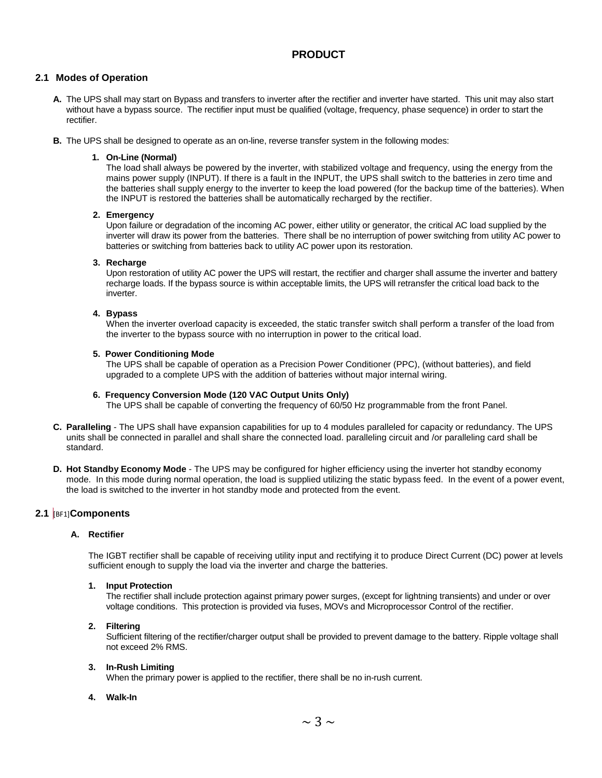#### **PRODUCT**

#### **2.1 Modes of Operation**

- **A.** The UPS shall may start on Bypass and transfers to inverter after the rectifier and inverter have started. This unit may also start without have a bypass source. The rectifier input must be qualified (voltage, frequency, phase sequence) in order to start the rectifier.
- **B.** The UPS shall be designed to operate as an on-line, reverse transfer system in the following modes:

#### **1. On-Line (Normal)**

The load shall always be powered by the inverter, with stabilized voltage and frequency, using the energy from the mains power supply (INPUT). If there is a fault in the INPUT, the UPS shall switch to the batteries in zero time and the batteries shall supply energy to the inverter to keep the load powered (for the backup time of the batteries). When the INPUT is restored the batteries shall be automatically recharged by the rectifier.

#### **2. Emergency**

Upon failure or degradation of the incoming AC power, either utility or generator, the critical AC load supplied by the inverter will draw its power from the batteries. There shall be no interruption of power switching from utility AC power to batteries or switching from batteries back to utility AC power upon its restoration.

#### **3. Recharge**

Upon restoration of utility AC power the UPS will restart, the rectifier and charger shall assume the inverter and battery recharge loads. If the bypass source is within acceptable limits, the UPS will retransfer the critical load back to the inverter.

#### **4. Bypass**

When the inverter overload capacity is exceeded, the static transfer switch shall perform a transfer of the load from the inverter to the bypass source with no interruption in power to the critical load.

#### **5. Power Conditioning Mode**

The UPS shall be capable of operation as a Precision Power Conditioner (PPC), (without batteries), and field upgraded to a complete UPS with the addition of batteries without major internal wiring.

#### **6. Frequency Conversion Mode (120 VAC Output Units Only)**

The UPS shall be capable of converting the frequency of 60/50 Hz programmable from the front Panel.

- **C. Paralleling**  The UPS shall have expansion capabilities for up to 4 modules paralleled for capacity or redundancy. The UPS units shall be connected in parallel and shall share the connected load. paralleling circuit and /or paralleling card shall be standard.
- **D. Hot Standby Economy Mode**  The UPS may be configured for higher efficiency using the inverter hot standby economy mode. In this mode during normal operation, the load is supplied utilizing the static bypass feed. In the event of a power event, the load is switched to the inverter in hot standby mode and protected from the event.

#### **2.1** [BF1]**Components**

#### **A. Rectifier**

The IGBT rectifier shall be capable of receiving utility input and rectifying it to produce Direct Current (DC) power at levels sufficient enough to supply the load via the inverter and charge the batteries.

#### **1. Input Protection**

The rectifier shall include protection against primary power surges, (except for lightning transients) and under or over voltage conditions. This protection is provided via fuses, MOVs and Microprocessor Control of the rectifier.

#### **2. Filtering**

Sufficient filtering of the rectifier/charger output shall be provided to prevent damage to the battery. Ripple voltage shall not exceed 2% RMS.

#### **3. In-Rush Limiting**

When the primary power is applied to the rectifier, there shall be no in-rush current.

#### **4. Walk-In**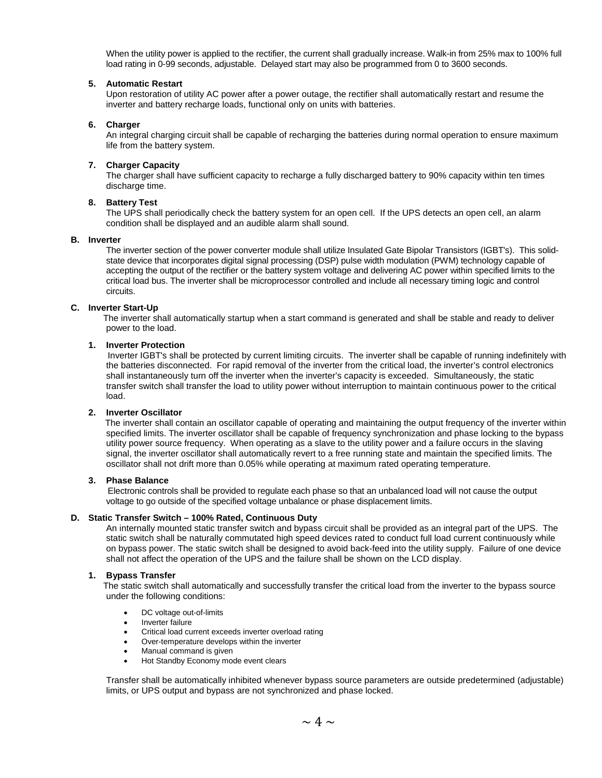When the utility power is applied to the rectifier, the current shall gradually increase. Walk-in from 25% max to 100% full load rating in 0-99 seconds, adjustable. Delayed start may also be programmed from 0 to 3600 seconds.

#### **5. Automatic Restart**

Upon restoration of utility AC power after a power outage, the rectifier shall automatically restart and resume the inverter and battery recharge loads, functional only on units with batteries.

#### **6. Charger**

An integral charging circuit shall be capable of recharging the batteries during normal operation to ensure maximum life from the battery system.

#### **7. Charger Capacity**

The charger shall have sufficient capacity to recharge a fully discharged battery to 90% capacity within ten times discharge time.

#### **8. Battery Test**

The UPS shall periodically check the battery system for an open cell. If the UPS detects an open cell, an alarm condition shall be displayed and an audible alarm shall sound.

#### **B. Inverter**

The inverter section of the power converter module shall utilize Insulated Gate Bipolar Transistors (IGBT's). This solidstate device that incorporates digital signal processing (DSP) pulse width modulation (PWM) technology capable of accepting the output of the rectifier or the battery system voltage and delivering AC power within specified limits to the critical load bus. The inverter shall be microprocessor controlled and include all necessary timing logic and control circuits.

#### **C. Inverter Start-Up**

The inverter shall automatically startup when a start command is generated and shall be stable and ready to deliver power to the load.

#### **1. Inverter Protection**

Inverter IGBT's shall be protected by current limiting circuits. The inverter shall be capable of running indefinitely with the batteries disconnected. For rapid removal of the inverter from the critical load, the inverter's control electronics shall instantaneously turn off the inverter when the inverter's capacity is exceeded. Simultaneously, the static transfer switch shall transfer the load to utility power without interruption to maintain continuous power to the critical load.

#### **2. Inverter Oscillator**

The inverter shall contain an oscillator capable of operating and maintaining the output frequency of the inverter within specified limits. The inverter oscillator shall be capable of frequency synchronization and phase locking to the bypass utility power source frequency. When operating as a slave to the utility power and a failure occurs in the slaving signal, the inverter oscillator shall automatically revert to a free running state and maintain the specified limits. The oscillator shall not drift more than 0.05% while operating at maximum rated operating temperature.

#### **3. Phase Balance**

 Electronic controls shall be provided to regulate each phase so that an unbalanced load will not cause the output voltage to go outside of the specified voltage unbalance or phase displacement limits.

#### **D. Static Transfer Switch – 100% Rated, Continuous Duty**

An internally mounted static transfer switch and bypass circuit shall be provided as an integral part of the UPS. The static switch shall be naturally commutated high speed devices rated to conduct full load current continuously while on bypass power. The static switch shall be designed to avoid back-feed into the utility supply. Failure of one device shall not affect the operation of the UPS and the failure shall be shown on the LCD display.

#### **1. Bypass Transfer**

The static switch shall automatically and successfully transfer the critical load from the inverter to the bypass source under the following conditions:

- DC voltage out-of-limits
- Inverter failure
- Critical load current exceeds inverter overload rating
- Over-temperature develops within the inverter
- Manual command is given
- Hot Standby Economy mode event clears

Transfer shall be automatically inhibited whenever bypass source parameters are outside predetermined (adjustable) limits, or UPS output and bypass are not synchronized and phase locked.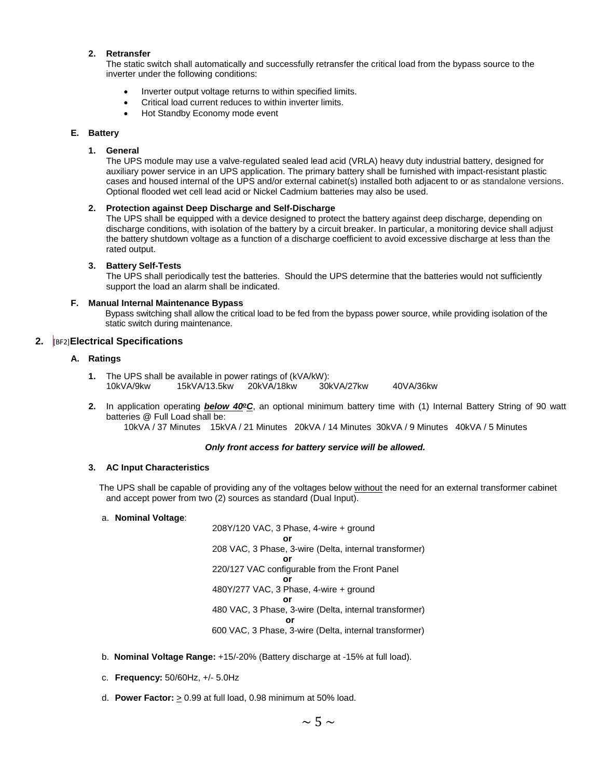#### **2. Retransfer**

The static switch shall automatically and successfully retransfer the critical load from the bypass source to the inverter under the following conditions:

- Inverter output voltage returns to within specified limits.
- Critical load current reduces to within inverter limits.
- Hot Standby Economy mode event

#### **E. Battery**

#### **1. General**

The UPS module may use a valve-regulated sealed lead acid (VRLA) heavy duty industrial battery, designed for auxiliary power service in an UPS application. The primary battery shall be furnished with impact-resistant plastic cases and housed internal of the UPS and/or external cabinet(s) installed both adjacent to or as standalone versions. Optional flooded wet cell lead acid or Nickel Cadmium batteries may also be used.

#### **2. Protection against Deep Discharge and Self-Discharge**

The UPS shall be equipped with a device designed to protect the battery against deep discharge, depending on discharge conditions, with isolation of the battery by a circuit breaker. In particular, a monitoring device shall adjust the battery shutdown voltage as a function of a discharge coefficient to avoid excessive discharge at less than the rated output.

#### **3. Battery Self-Tests**

The UPS shall periodically test the batteries. Should the UPS determine that the batteries would not sufficiently support the load an alarm shall be indicated.

#### **F. Manual Internal Maintenance Bypass**

Bypass switching shall allow the critical load to be fed from the bypass power source, while providing isolation of the static switch during maintenance.

#### **2.** [BF2]**Electrical Specifications**

#### **A. Ratings**

- **1.** The UPS shall be available in power ratings of (kVA/kW): 10kVA/9kw 15kVA/13.5kw 20kVA/18kw 30kVA/27kw 40VA/36kw
- 2. In application operating **below 40°C**, an optional minimum battery time with (1) Internal Battery String of 90 watt batteries @ Full Load shall be:

10kVA / 37 Minutes 15kVA / 21 Minutes 20kVA / 14 Minutes 30kVA / 9 Minutes 40kVA / 5 Minutes

#### *Only front access for battery service will be allowed.*

#### **3. AC Input Characteristics**

The UPS shall be capable of providing any of the voltages below without the need for an external transformer cabinet and accept power from two (2) sources as standard (Dual Input).

#### a. **Nominal Voltage**:

208Y/120 VAC, 3 Phase, 4-wire + ground **or** 208 VAC, 3 Phase, 3-wire (Delta, internal transformer) **or** 220/127 VAC configurable from the Front Panel **or** 480Y/277 VAC, 3 Phase, 4-wire + ground **or** 480 VAC, 3 Phase, 3-wire (Delta, internal transformer) **or** *order than*  $\theta$ 600 VAC, 3 Phase, 3-wire (Delta, internal transformer)

- b. **Nominal Voltage Range:** +15/-20% (Battery discharge at -15% at full load).
- c. **Frequency:** 50/60Hz, +/- 5.0Hz
- d. **Power Factor:**  $\geq$  0.99 at full load, 0.98 minimum at 50% load.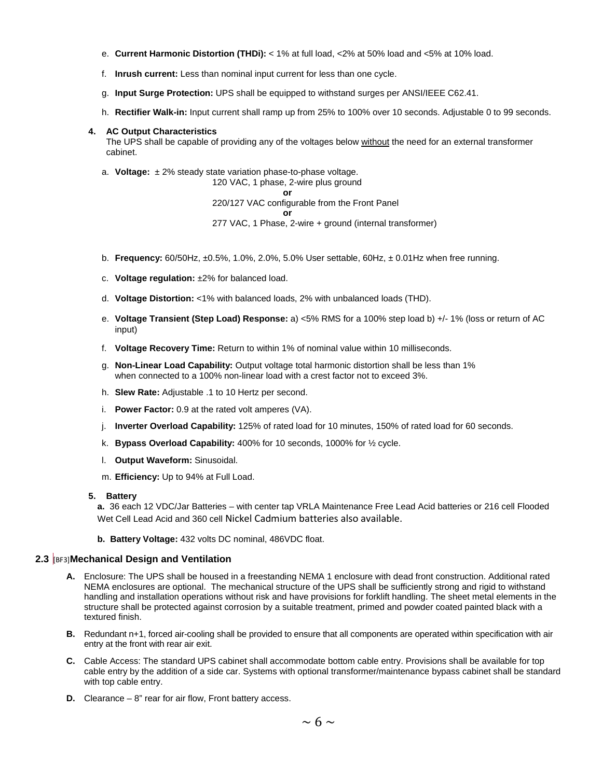- e. **Current Harmonic Distortion (THDi):** < 1% at full load, <2% at 50% load and <5% at 10% load.
- f. **Inrush current:** Less than nominal input current for less than one cycle.
- g. **Input Surge Protection:** UPS shall be equipped to withstand surges per ANSI/IEEE C62.41.
- h. **Rectifier Walk-in:** Input current shall ramp up from 25% to 100% over 10 seconds. Adjustable 0 to 99 seconds.

#### **4. AC Output Characteristics**

The UPS shall be capable of providing any of the voltages below without the need for an external transformer cabinet.

a. **Voltage:** ± 2% steady state variation phase-to-phase voltage.

120 VAC, 1 phase, 2-wire plus ground **or**

220/127 VAC configurable from the Front Panel **or** 277 VAC, 1 Phase, 2-wire + ground (internal transformer)

- b. **Frequency:** 60/50Hz, ±0.5%, 1.0%, 2.0%, 5.0% User settable, 60Hz, ± 0.01Hz when free running.
- c. **Voltage regulation:** ±2% for balanced load.
- d. **Voltage Distortion:** <1% with balanced loads, 2% with unbalanced loads (THD).
- e. **Voltage Transient (Step Load) Response:** a) <5% RMS for a 100% step load b) +/- 1% (loss or return of AC input)
- f. **Voltage Recovery Time:** Return to within 1% of nominal value within 10 milliseconds.
- g. **Non-Linear Load Capability:** Output voltage total harmonic distortion shall be less than 1% when connected to a 100% non-linear load with a crest factor not to exceed 3%.
- h. **Slew Rate:** Adjustable .1 to 10 Hertz per second.
- i. **Power Factor:** 0.9 at the rated volt amperes (VA).
- j. **Inverter Overload Capability:** 125% of rated load for 10 minutes, 150% of rated load for 60 seconds.
- k. **Bypass Overload Capability:** 400% for 10 seconds, 1000% for ½ cycle.
- l. **Output Waveform:** Sinusoidal.
- m. **Efficiency:** Up to 94% at Full Load.

#### **5. Battery**

**a.** 36 each 12 VDC/Jar Batteries – with center tap VRLA Maintenance Free Lead Acid batteries or 216 cell Flooded Wet Cell Lead Acid and 360 cell Nickel Cadmium batteries also available.

**b. Battery Voltage:** 432 volts DC nominal, 486VDC float.

#### **2.3** [BF3]**Mechanical Design and Ventilation**

- **A.** Enclosure: The UPS shall be housed in a freestanding NEMA 1 enclosure with dead front construction. Additional rated NEMA enclosures are optional. The mechanical structure of the UPS shall be sufficiently strong and rigid to withstand handling and installation operations without risk and have provisions for forklift handling. The sheet metal elements in the structure shall be protected against corrosion by a suitable treatment, primed and powder coated painted black with a textured finish.
- **B.** Redundant n+1, forced air-cooling shall be provided to ensure that all components are operated within specification with air entry at the front with rear air exit.
- **C.** Cable Access: The standard UPS cabinet shall accommodate bottom cable entry. Provisions shall be available for top cable entry by the addition of a side car. Systems with optional transformer/maintenance bypass cabinet shall be standard with top cable entry.
- **D.** Clearance 8" rear for air flow, Front battery access.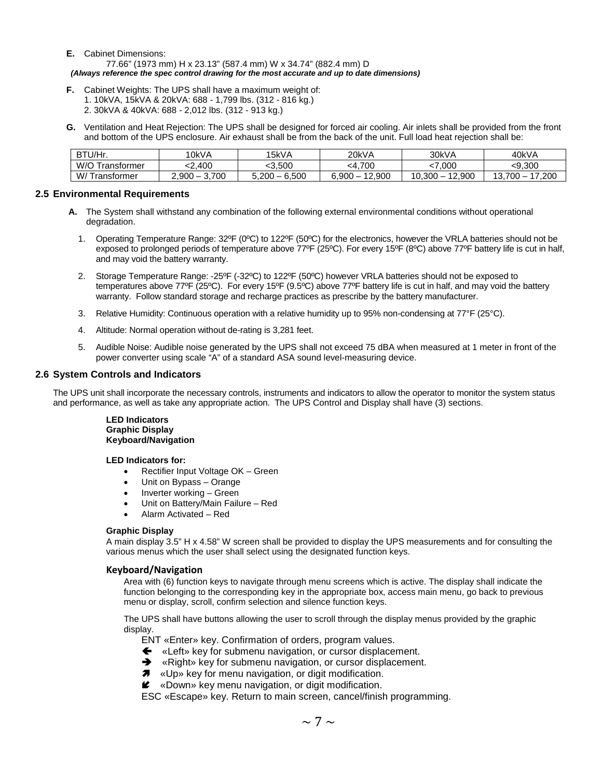- **E.** Cabinet Dimensions: 77.66" (1973 mm) H x 23.13" (587.4 mm) W x 34.74" (882.4 mm) D *(Always reference the spec control drawing for the most accurate and up to date dimensions)*
- **F.** Cabinet Weights: The UPS shall have a maximum weight of: 1. 10kVA, 15kVA & 20kVA: 688 - 1,799 lbs. (312 - 816 kg.) 2. 30kVA & 40kVA: 688 - 2,012 lbs. (312 - 913 kg.)
- **G.** Ventilation and Heat Rejection: The UPS shall be designed for forced air cooling. Air inlets shall be provided from the front and bottom of the UPS enclosure. Air exhaust shall be from the back of the unit. Full load heat rejection shall be:

| BTU/Hr.                   | 10kVA                   | 15kVA                                      | 20kVA                  | 30kVA                                  | 40kVA                       |
|---------------------------|-------------------------|--------------------------------------------|------------------------|----------------------------------------|-----------------------------|
| W/O<br><b>fransformer</b> | 400                     | 3.500                                      | <4.700                 | .000                                   | :9.300                      |
| W/T<br>l ranstormer       | 700<br>2.900<br>_<br>ີ. | 6,500<br>5.200<br>$\overline{\phantom{a}}$ | 12.900<br><b>6.900</b> | 2.900<br>10.300<br>$\overline{1}$<br>- | 17,200<br>10<br>700<br>.ن ۱ |

#### **2.5 Environmental Requirements**

- **A.** The System shall withstand any combination of the following external environmental conditions without operational degradation.
	- 1. Operating Temperature Range: 32ºF (0ºC) to 122ºF (50ºC) for the electronics, however the VRLA batteries should not be exposed to prolonged periods of temperature above 77ºF (25ºC). For every 15ºF (8ºC) above 77ºF battery life is cut in half, and may void the battery warranty.
	- 2. Storage Temperature Range: -25ºF (-32ºC) to 122ºF (50ºC) however VRLA batteries should not be exposed to temperatures above 77ºF (25ºC). For every 15ºF (9.5ºC) above 77ºF battery life is cut in half, and may void the battery warranty. Follow standard storage and recharge practices as prescribe by the battery manufacturer.
	- 3. Relative Humidity: Continuous operation with a relative humidity up to 95% non-condensing at 77°F (25°C).
	- 4. Altitude: Normal operation without de-rating is 3,281 feet.
	- 5. Audible Noise: Audible noise generated by the UPS shall not exceed 75 dBA when measured at 1 meter in front of the power converter using scale "A" of a standard ASA sound level-measuring device.

#### **2.6 System Controls and Indicators**

The UPS unit shall incorporate the necessary controls, instruments and indicators to allow the operator to monitor the system status and performance, as well as take any appropriate action. The UPS Control and Display shall have (3) sections.

#### **LED Indicators Graphic Display Keyboard/Navigation**

#### **LED Indicators for:**

- Rectifier Input Voltage OK Green
- Unit on Bypass Orange
- Inverter working Green
- Unit on Battery/Main Failure Red
- Alarm Activated Red

#### **Graphic Display**

A main display 3.5" H x 4.58" W screen shall be provided to display the UPS measurements and for consulting the various menus which the user shall select using the designated function keys.

#### **Keyboard/Navigation**

Area with (6) function keys to navigate through menu screens which is active. The display shall indicate the function belonging to the corresponding key in the appropriate box, access main menu, go back to previous menu or display, scroll, confirm selection and silence function keys.

The UPS shall have buttons allowing the user to scroll through the display menus provided by the graphic display.

ENT «Enter» key. Confirmation of orders, program values.

- «Left» key for submenu navigation, or cursor displacement.
- **→** «Right» key for submenu navigation, or cursor displacement.
- **7** «Up» key for menu navigation, or digit modification.
- $\mathbf{\ell}$  «Down» key menu navigation, or digit modification.

ESC «Escape» key. Return to main screen, cancel/finish programming.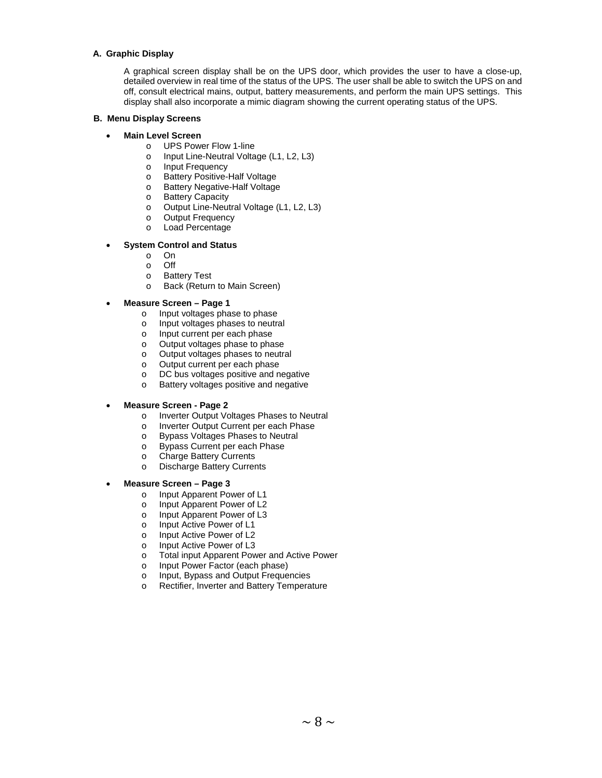#### **A. Graphic Display**

A graphical screen display shall be on the UPS door, which provides the user to have a close-up, detailed overview in real time of the status of the UPS. The user shall be able to switch the UPS on and off, consult electrical mains, output, battery measurements, and perform the main UPS settings. This display shall also incorporate a mimic diagram showing the current operating status of the UPS.

#### **B. Menu Display Screens**

#### • **Main Level Screen**

- o UPS Power Flow 1-line<br>o Input Line-Neutral Volta
- o Input Line-Neutral Voltage (L1, L2, L3)<br>o Input Frequency
- o Input Frequency<br>
o Battery Positive-
- o Battery Positive-Half Voltage<br>
o Battery Negative-Half Voltage
- o Battery Negative-Half Voltage<br>
o Battery Capacity
- o Battery Capacity<br>
o Output Line-Neu
- $\circ$  Output Line-Neutral Voltage (L1, L2, L3)<br> $\circ$  Output Frequency
- o Output Frequency<br>o Load Percentage
- Load Percentage

#### • **System Control and Status**

- o On<br>off
- o Off
- o Battery Test<br>o Back (Returr
- Back (Return to Main Screen)
- **Measure Screen – Page 1**
	- o Input voltages phase to phase<br>o Input voltages phases to neutral
	- o Input voltages phases to neutral<br>o Input current per each phase
	- o Input current per each phase<br>
	o Output voltages phase to pha
	- Output voltages phase to phase
	- o Output voltages phases to neutral
	- o Output current per each phase<br>
	o DC bus voltages positive and n
	- DC bus voltages positive and negative
	- o Battery voltages positive and negative

#### • **Measure Screen - Page 2**

- o Inverter Output Voltages Phases to Neutral<br>o Inverter Output Current per each Phase
- o Inverter Output Current per each Phase<br>
o Bypass Voltages Phases to Neutral
- o Bypass Voltages Phases to Neutral<br>
o Bypass Current per each Phase
- o Bypass Current per each Phase<br>
o Charge Battery Currents
- o Charge Battery Currents<br>
o Discharge Battery Currer
- **Discharge Battery Currents**

#### • **Measure Screen – Page 3**

- o Input Apparent Power of L1<br>
o Input Apparent Power of L2
- Input Apparent Power of L2
- o Input Apparent Power of L3<br>
o Input Active Power of L1
- o Input Active Power of L1<br>o Input Active Power of L2
- o Input Active Power of L2<br>
∩ Input Active Power of L3
- o Input Active Power of L3<br>
o Total input Apparent Pow
- o Total input Apparent Power and Active Power<br>o Input Power Factor (each phase)
- o Input Power Factor (each phase)<br>
o Input. Bypass and Output Freque
- o Input, Bypass and Output Frequencies<br>
o Rectifier, Inverter and Battery Tempera
- Rectifier, Inverter and Battery Temperature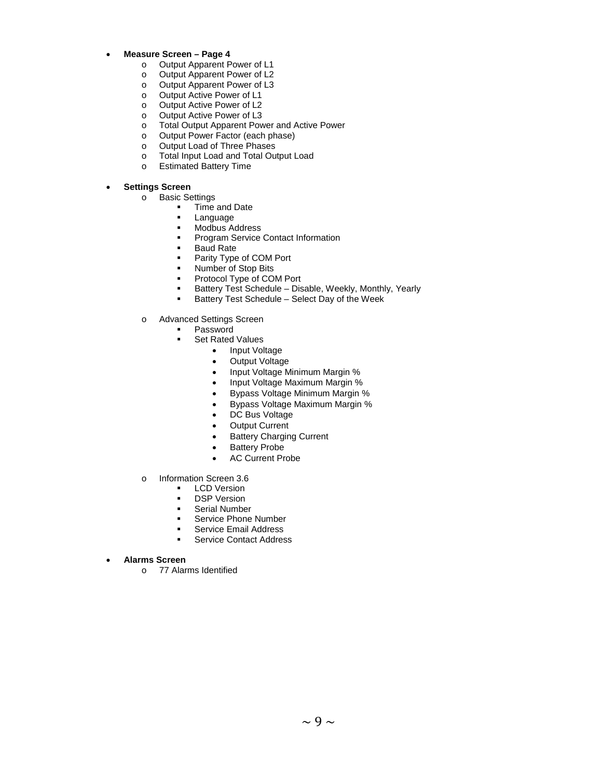- **Measure Screen – Page 4**
	- o Output Apparent Power of L1<br>
	o Output Apparent Power of L2
	- o Output Apparent Power of L2<br>
	o Output Apparent Power of L3
	- Output Apparent Power of L3
	- o Output Active Power of L1
	- Output Active Power of L2
	- o Output Active Power of L3<br>
	o Total Output Apparent Pow
	- o Total Output Apparent Power and Active Power
	- o Output Power Factor (each phase)<br>
	o Output Load of Three Phases
	- o Output Load of Three Phases<br>
	o Total Input Load and Total Ou
	- o Total Input Load and Total Output Load<br>
	o Estimated Battery Time
	- **Estimated Battery Time**

#### • **Settings Screen**

- o Basic Settings<br>Fime
	- Time and Date
	- **Language**<br>Modhus A
	- Modbus Address<br>Program Service
	- Program Service Contact Information
	- **Baud Rate**
	- Parity Type of COM Port
	- **Number of Stop Bits**
	- Protocol Type of COM Port
	- **Battery Test Schedule Disable, Weekly, Monthly, Yearly<br>Battery Test Schedule Select Day of the Week**
	- Battery Test Schedule Select Day of the Week
- o Advanced Settings Screen
	- Password
	- Set Rated Values
		- Input Voltage
		- Output Voltage
		- Input Voltage Minimum Margin %
		- Input Voltage Maximum Margin %
		- Bypass Voltage Minimum Margin %
		- Bypass Voltage Maximum Margin %
		- DC Bus Voltage
		- **Output Current**
		- **Battery Charging Current**
		- Battery Probe
		- AC Current Probe
- o Information Screen 3.6
	- **LCD Version**<br>**DSP Version**
	- **DSP Version**<br>**Berial Number**
	- Serial Number
	- **Service Phone Number**
	- Service Email Address<br>Service Contact Addres
	- Service Contact Address
- **Alarms Screen**
	- o 77 Alarms Identified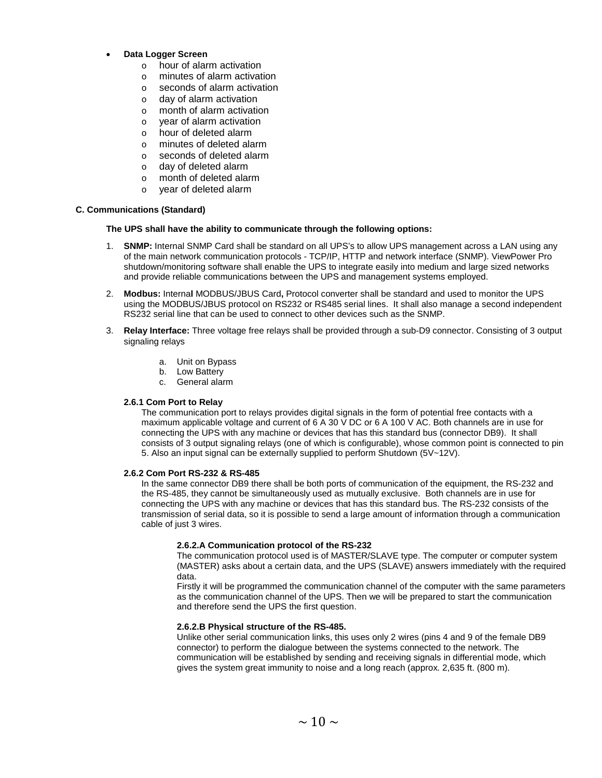- **Data Logger Screen**
	- o hour of alarm activation
	- o minutes of alarm activation
	- o seconds of alarm activation
	- o day of alarm activation
	- o month of alarm activation
	- o year of alarm activation
	- o hour of deleted alarm
	- o minutes of deleted alarm
	- o seconds of deleted alarm
	- o day of deleted alarm
	- o month of deleted alarm
	- o year of deleted alarm

#### **C. Communications (Standard)**

#### **The UPS shall have the ability to communicate through the following options:**

- 1. **SNMP:** Internal SNMP Card shall be standard on all UPS's to allow UPS management across a LAN using any of the main network communication protocols - TCP/IP, HTTP and network interface (SNMP). ViewPower Pro shutdown/monitoring software shall enable the UPS to integrate easily into medium and large sized networks and provide reliable communications between the UPS and management systems employed.
- 2. **Modbus:** Interna**l** MODBUS/JBUS Card**,** Protocol converter shall be standard and used to monitor the UPS using the MODBUS/JBUS protocol on RS232 or RS485 serial lines. It shall also manage a second independent RS232 serial line that can be used to connect to other devices such as the SNMP.
- 3. **Relay Interface:** Three voltage free relays shall be provided through a sub-D9 connector. Consisting of 3 output signaling relays
	- a. Unit on Bypass
	- b. Low Battery
	- c. General alarm

#### **2.6.1 Com Port to Relay**

The communication port to relays provides digital signals in the form of potential free contacts with a maximum applicable voltage and current of 6 A 30 V DC or 6 A 100 V AC. Both channels are in use for connecting the UPS with any machine or devices that has this standard bus (connector DB9). It shall consists of 3 output signaling relays (one of which is configurable), whose common point is connected to pin 5. Also an input signal can be externally supplied to perform Shutdown (5V~12V).

#### **2.6.2 Com Port RS-232 & RS-485**

In the same connector DB9 there shall be both ports of communication of the equipment, the RS-232 and the RS-485, they cannot be simultaneously used as mutually exclusive. Both channels are in use for connecting the UPS with any machine or devices that has this standard bus. The RS-232 consists of the transmission of serial data, so it is possible to send a large amount of information through a communication cable of just 3 wires.

#### **2.6.2.A Communication protocol of the RS-232**

The communication protocol used is of MASTER/SLAVE type. The computer or computer system (MASTER) asks about a certain data, and the UPS (SLAVE) answers immediately with the required data.

Firstly it will be programmed the communication channel of the computer with the same parameters as the communication channel of the UPS. Then we will be prepared to start the communication and therefore send the UPS the first question.

#### **2.6.2.B Physical structure of the RS-485.**

Unlike other serial communication links, this uses only 2 wires (pins 4 and 9 of the female DB9 connector) to perform the dialogue between the systems connected to the network. The communication will be established by sending and receiving signals in differential mode, which gives the system great immunity to noise and a long reach (approx. 2,635 ft. (800 m).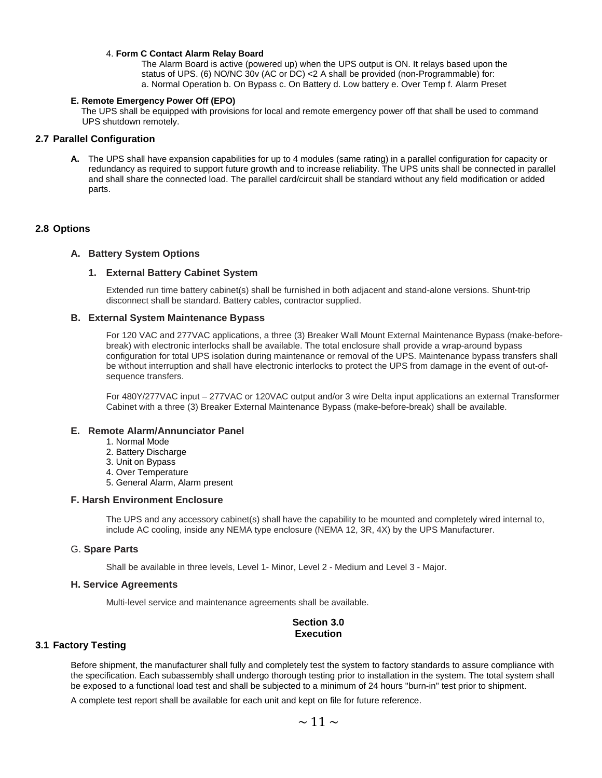#### 4. **Form C Contact Alarm Relay Board**

The Alarm Board is active (powered up) when the UPS output is ON. It relays based upon the status of UPS. (6) NO/NC 30v (AC or DC) <2 A shall be provided (non-Programmable) for: a. Normal Operation b. On Bypass c. On Battery d. Low battery e. Over Temp f. Alarm Preset

#### **E. Remote Emergency Power Off (EPO)**

 The UPS shall be equipped with provisions for local and remote emergency power off that shall be used to command UPS shutdown remotely.

#### **2.7 Parallel Configuration**

**A.** The UPS shall have expansion capabilities for up to 4 modules (same rating) in a parallel configuration for capacity or redundancy as required to support future growth and to increase reliability. The UPS units shall be connected in parallel and shall share the connected load. The parallel card/circuit shall be standard without any field modification or added parts.

#### **2.8 Options**

#### **A. Battery System Options**

#### **1. External Battery Cabinet System**

Extended run time battery cabinet(s) shall be furnished in both adjacent and stand-alone versions. Shunt-trip disconnect shall be standard. Battery cables, contractor supplied.

#### **B. External System Maintenance Bypass**

For 120 VAC and 277VAC applications, a three (3) Breaker Wall Mount External Maintenance Bypass (make-beforebreak) with electronic interlocks shall be available. The total enclosure shall provide a wrap-around bypass configuration for total UPS isolation during maintenance or removal of the UPS. Maintenance bypass transfers shall be without interruption and shall have electronic interlocks to protect the UPS from damage in the event of out-ofsequence transfers.

For 480Y/277VAC input – 277VAC or 120VAC output and/or 3 wire Delta input applications an external Transformer Cabinet with a three (3) Breaker External Maintenance Bypass (make-before-break) shall be available.

#### **E. Remote Alarm/Annunciator Panel**

- 1. Normal Mode
- 2. Battery Discharge
- 3. Unit on Bypass
- 4. Over Temperature
- 5. General Alarm, Alarm present

#### **F. Harsh Environment Enclosure**

The UPS and any accessory cabinet(s) shall have the capability to be mounted and completely wired internal to, include AC cooling, inside any NEMA type enclosure (NEMA 12, 3R, 4X) by the UPS Manufacturer.

#### G. **Spare Parts**

Shall be available in three levels, Level 1- Minor, Level 2 - Medium and Level 3 - Major.

#### **H. Service Agreements**

Multi-level service and maintenance agreements shall be available.

#### **Section 3.0 Execution**

#### **3.1 Factory Testing**

Before shipment, the manufacturer shall fully and completely test the system to factory standards to assure compliance with the specification. Each subassembly shall undergo thorough testing prior to installation in the system. The total system shall be exposed to a functional load test and shall be subjected to a minimum of 24 hours "burn-in" test prior to shipment.

A complete test report shall be available for each unit and kept on file for future reference.